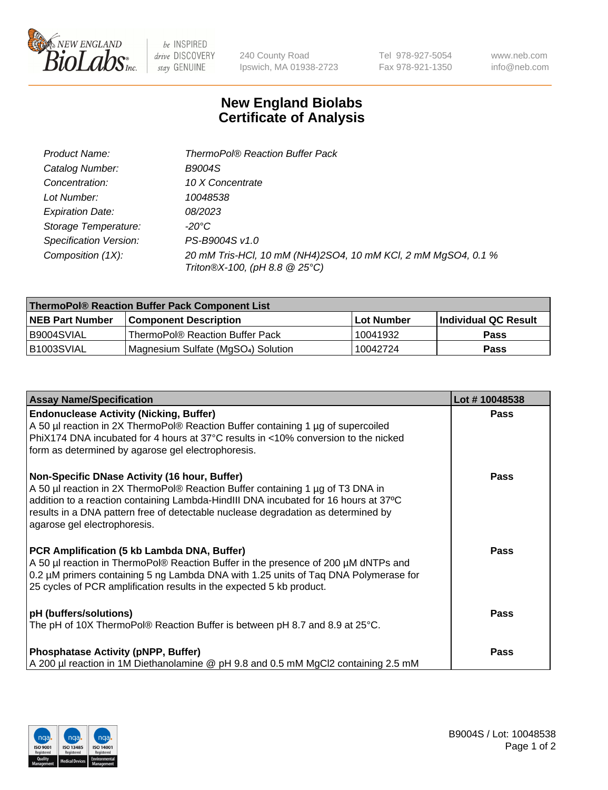

 $be$  INSPIRED drive DISCOVERY stay GENUINE

240 County Road Ipswich, MA 01938-2723

Tel 978-927-5054 Fax 978-921-1350

www.neb.com info@neb.com

## **New England Biolabs Certificate of Analysis**

| Product Name:                 | <b>ThermoPol® Reaction Buffer Pack</b>                                                         |
|-------------------------------|------------------------------------------------------------------------------------------------|
| Catalog Number:               | <b>B9004S</b>                                                                                  |
| Concentration:                | 10 X Concentrate                                                                               |
| Lot Number:                   | 10048538                                                                                       |
| <b>Expiration Date:</b>       | 08/2023                                                                                        |
| Storage Temperature:          | -20°C                                                                                          |
| <b>Specification Version:</b> | PS-B9004S v1.0                                                                                 |
| Composition (1X):             | 20 mM Tris-HCl, 10 mM (NH4)2SO4, 10 mM KCl, 2 mM MgSO4, 0.1 %<br>Triton®X-100, (pH 8.8 @ 25°C) |

| ThermoPol® Reaction Buffer Pack Component List |                                    |             |                             |  |
|------------------------------------------------|------------------------------------|-------------|-----------------------------|--|
| <b>NEB Part Number</b>                         | <b>Component Description</b>       | ⊺Lot Number | <b>Individual QC Result</b> |  |
| I B9004SVIAL                                   | ThermoPol® Reaction Buffer Pack    | 10041932    | <b>Pass</b>                 |  |
| IB1003SVIAL                                    | Magnesium Sulfate (MgSO4) Solution | 10042724    | Pass                        |  |

| <b>Assay Name/Specification</b>                                                                                                                                                                                                                                                                                                             | Lot #10048538 |
|---------------------------------------------------------------------------------------------------------------------------------------------------------------------------------------------------------------------------------------------------------------------------------------------------------------------------------------------|---------------|
| <b>Endonuclease Activity (Nicking, Buffer)</b><br>A 50 µl reaction in 2X ThermoPol® Reaction Buffer containing 1 µg of supercoiled<br>PhiX174 DNA incubated for 4 hours at 37°C results in <10% conversion to the nicked<br>form as determined by agarose gel electrophoresis.                                                              | <b>Pass</b>   |
| Non-Specific DNase Activity (16 hour, Buffer)<br>A 50 µl reaction in 2X ThermoPol® Reaction Buffer containing 1 µg of T3 DNA in<br>addition to a reaction containing Lambda-HindIII DNA incubated for 16 hours at 37°C<br>results in a DNA pattern free of detectable nuclease degradation as determined by<br>agarose gel electrophoresis. | <b>Pass</b>   |
| PCR Amplification (5 kb Lambda DNA, Buffer)<br>A 50 µl reaction in ThermoPol® Reaction Buffer in the presence of 200 µM dNTPs and<br>0.2 µM primers containing 5 ng Lambda DNA with 1.25 units of Taq DNA Polymerase for<br>25 cycles of PCR amplification results in the expected 5 kb product.                                            | <b>Pass</b>   |
| pH (buffers/solutions)<br>The pH of 10X ThermoPol® Reaction Buffer is between pH 8.7 and 8.9 at 25°C.                                                                                                                                                                                                                                       | <b>Pass</b>   |
| <b>Phosphatase Activity (pNPP, Buffer)</b><br>A 200 µl reaction in 1M Diethanolamine @ pH 9.8 and 0.5 mM MgCl2 containing 2.5 mM                                                                                                                                                                                                            | <b>Pass</b>   |